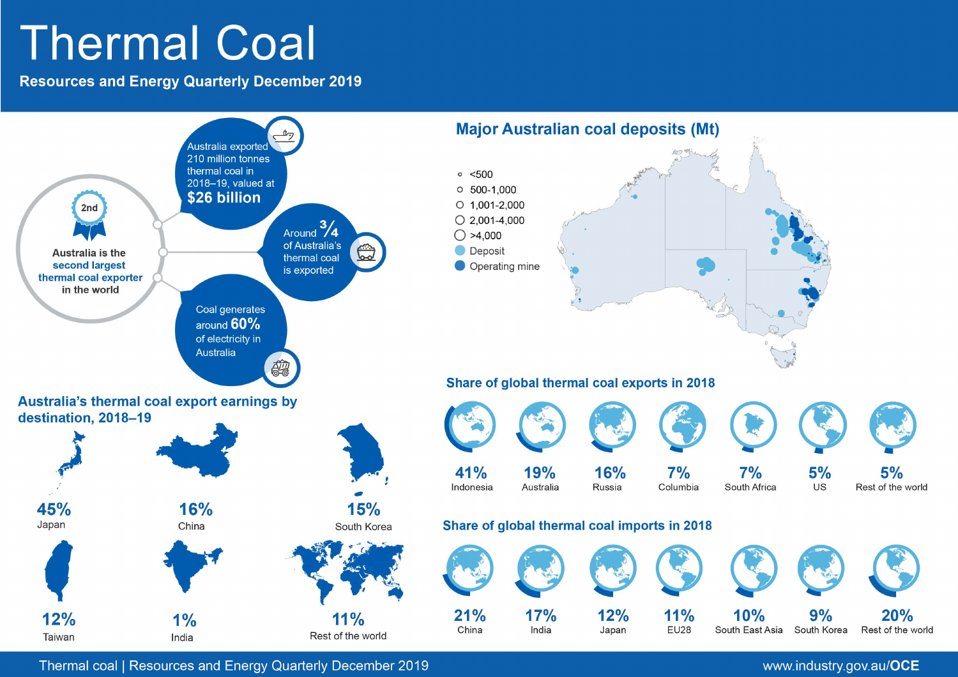# **Thermal Coal**

**Resources and Energy Quarterly December 2019** 



Thermal coal | Resources and Energy Quarterly December 2019

www.industry.gov.au/OCE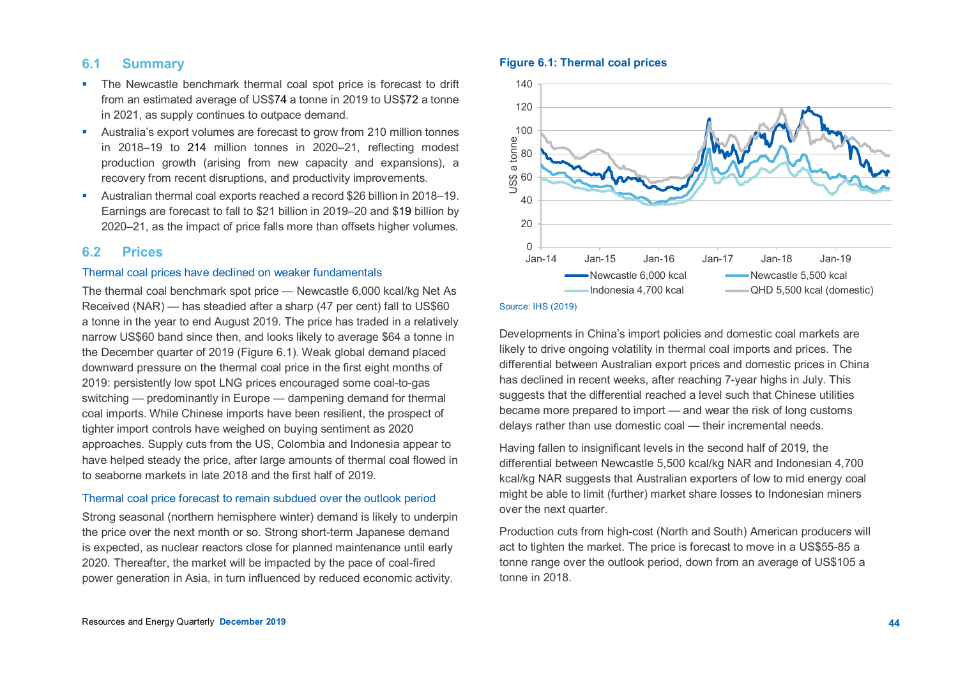# **6.1 Summary**

- The Newcastle benchmark thermal coal spot price is forecast to drift from an estimated average of US\$74 a tonne in 2019 to US\$72 a tonne in 2021, as supply continues to outpace demand.
- Australia's export volumes are forecast to grow from 210 million tonnes in 2018–19 to 214 million tonnes in 2020–21, reflecting modest production growth (arising from new capacity and expansions), a recovery from recent disruptions, and productivity improvements.
- Australian thermal coal exports reached a record \$26 billion in 2018–19. Earnings are forecast to fall to \$21 billion in 2019–20 and \$19 billion by 2020–21, as the impact of price falls more than offsets higher volumes.

## **6.2 Prices**

# Thermal coal prices have declined on weaker fundamentals

The thermal coal benchmark spot price — Newcastle 6,000 kcal/kg Net As Received (NAR) — has steadied after a sharp (47 per cent) fall to US\$60 a tonne in the year to end August 2019. The price has traded in a relatively narrow US\$60 band since then, and looks likely to average \$64 a tonne in the December quarter of 2019 (Figure 6.1). Weak global demand placed downward pressure on the thermal coal price in the first eight months of 2019: persistently low spot LNG prices encouraged some coal-to-gas switching — predominantly in Europe — dampening demand for thermal coal imports. While Chinese imports have been resilient, the prospect of tighter import controls have weighed on buying sentiment as 2020 approaches. Supply cuts from the US, Colombia and Indonesia appear to have helped steady the price, after large amounts of thermal coal flowed in to seaborne markets in late 2018 and the first half of 2019.

#### Thermal coal price forecast to remain subdued over the outlook period

Strong seasonal (northern hemisphere winter) demand is likely to underpin the price over the next month or so. Strong short-term Japanese demand is expected, as nuclear reactors close for planned maintenance until early 2020. Thereafter, the market will be impacted by the pace of coal-fired power generation in Asia, in turn influenced by reduced economic activity.

## **Figure 6.1: Thermal coal prices**



#### Source: IHS (2019)

Developments in China's import policies and domestic coal markets are likely to drive ongoing volatility in thermal coal imports and prices. The differential between Australian export prices and domestic prices in China has declined in recent weeks, after reaching 7-year highs in July. This suggests that the differential reached a level such that Chinese utilities became more prepared to import — and wear the risk of long customs delays rather than use domestic coal — their incremental needs.

Having fallen to insignificant levels in the second half of 2019, the differential between Newcastle 5,500 kcal/kg NAR and Indonesian 4,700 kcal/kg NAR suggests that Australian exporters of low to mid energy coal might be able to limit (further) market share losses to Indonesian miners over the next quarter.

Production cuts from high-cost (North and South) American producers will act to tighten the market. The price is forecast to move in a US\$55-85 a tonne range over the outlook period, down from an average of US\$105 a tonne in 2018.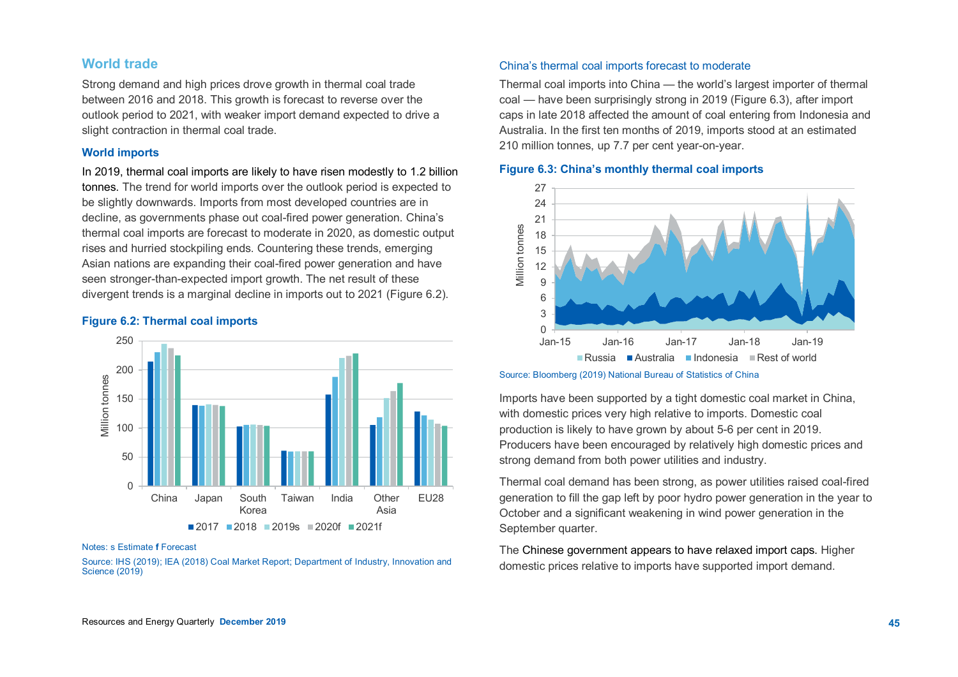# **World trade**

Strong demand and high prices drove growth in thermal coal trade between 2016 and 2018. This growth is forecast to reverse over the outlook period to 2021, with weaker import demand expected to drive a slight contraction in thermal coal trade.

#### **World imports**

In 2019, thermal coal imports are likely to have risen modestly to 1.2 billion tonnes. The trend for world imports over the outlook period is expected to be slightly downwards. Imports from most developed countries are in decline, as governments phase out coal-fired power generation. China's thermal coal imports are forecast to moderate in 2020, as domestic output rises and hurried stockpiling ends. Countering these trends, emerging Asian nations are expanding their coal-fired power generation and have seen stronger-than-expected import growth. The net result of these divergent trends is a marginal decline in imports out to 2021 (Figure 6.2).

# **Figure 6.2: Thermal coal imports**



#### Notes: s Estimate **f** Forecast

Source: IHS (2019); IEA (2018) Coal Market Report; Department of Industry, Innovation and Science (2019)

#### China's thermal coal imports forecast to moderate

Thermal coal imports into China — the world's largest importer of thermal coal — have been surprisingly strong in 2019 (Figure 6.3), after import caps in late 2018 affected the amount of coal entering from Indonesia and Australia. In the first ten months of 2019, imports stood at an estimated 210 million tonnes, up 7.7 per cent year-on-year.

## **Figure 6.3: China's monthly thermal coal imports**



Source: Bloomberg (2019) National Bureau of Statistics of China

Imports have been supported by a tight domestic coal market in China, with domestic prices very high relative to imports. Domestic coal production is likely to have grown by about 5-6 per cent in 2019. Producers have been encouraged by relatively high domestic prices and strong demand from both power utilities and industry.

Thermal coal demand has been strong, as power utilities raised coal-fired generation to fill the gap left by poor hydro power generation in the year to October and a significant weakening in wind power generation in the September quarter.

The Chinese government appears to have relaxed import caps. Higher domestic prices relative to imports have supported import demand.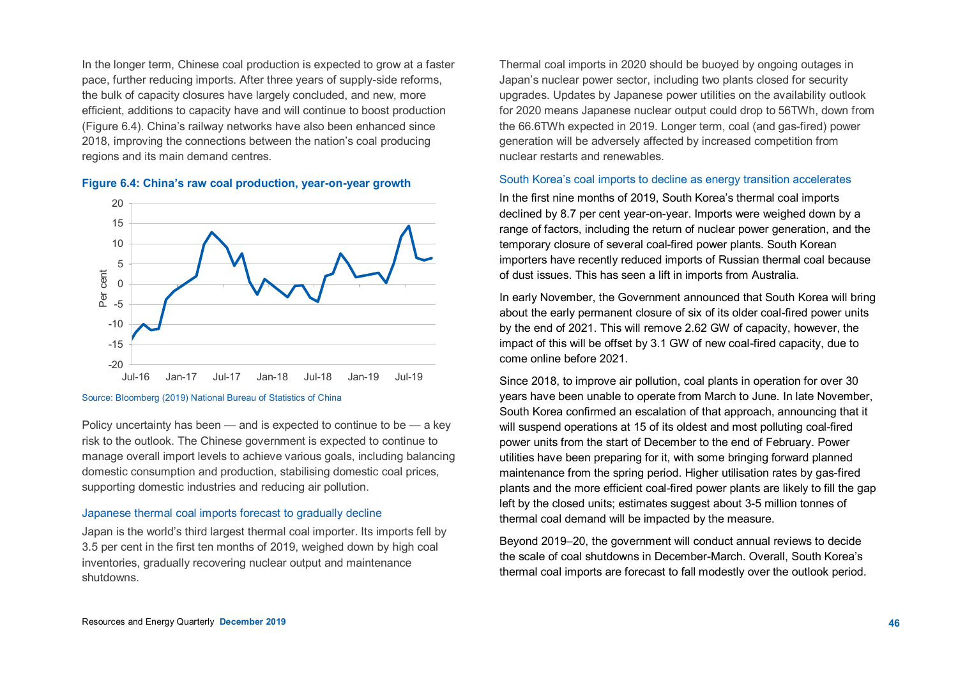In the longer term, Chinese coal production is expected to grow at a faster pace, further reducing imports. After three years of supply-side reforms, the bulk of capacity closures have largely concluded, and new, more efficient, additions to capacity have and will continue to boost production (Figure 6.4). China's railway networks have also been enhanced since 2018, improving the connections between the nation's coal producing regions and its main demand centres.



**Figure 6.4: China's raw coal production, year-on-year growth**

#### Source: Bloomberg (2019) National Bureau of Statistics of China

Policy uncertainty has been — and is expected to continue to be — a key risk to the outlook. The Chinese government is expected to continue to manage overall import levels to achieve various goals, including balancing domestic consumption and production, stabilising domestic coal prices, supporting domestic industries and reducing air pollution.

## Japanese thermal coal imports forecast to gradually decline

Japan is the world's third largest thermal coal importer. Its imports fell by 3.5 per cent in the first ten months of 2019, weighed down by high coal inventories, gradually recovering nuclear output and maintenance shutdowns.

Thermal coal imports in 2020 should be buoyed by ongoing outages in Japan's nuclear power sector, including two plants closed for security upgrades. Updates by Japanese power utilities on the availability outlook for 2020 means Japanese nuclear output could drop to 56TWh, down from the 66.6TWh expected in 2019. Longer term, coal (and gas-fired) power generation will be adversely affected by increased competition from nuclear restarts and renewables.

## South Korea's coal imports to decline as energy transition accelerates

In the first nine months of 2019, South Korea's thermal coal imports declined by 8.7 per cent year-on-year. Imports were weighed down by a range of factors, including the return of nuclear power generation, and the temporary closure of several coal-fired power plants. South Korean importers have recently reduced imports of Russian thermal coal because of dust issues. This has seen a lift in imports from Australia.

In early November, the Government announced that South Korea will bring about the early permanent closure of six of its older coal-fired power units by the end of 2021. This will remove 2.62 GW of capacity, however, the impact of this will be offset by 3.1 GW of new coal-fired capacity, due to come online before 2021.

Since 2018, to improve air pollution, coal plants in operation for over 30 years have been unable to operate from March to June. In late November, South Korea confirmed an escalation of that approach, announcing that it will suspend operations at 15 of its oldest and most polluting coal-fired power units from the start of December to the end of February. Power utilities have been preparing for it, with some bringing forward planned maintenance from the spring period. Higher utilisation rates by gas-fired plants and the more efficient coal-fired power plants are likely to fill the gap left by the closed units; estimates suggest about 3-5 million tonnes of thermal coal demand will be impacted by the measure.

Beyond 2019–20, the government will conduct annual reviews to decide the scale of coal shutdowns in December-March. Overall, South Korea's thermal coal imports are forecast to fall modestly over the outlook period.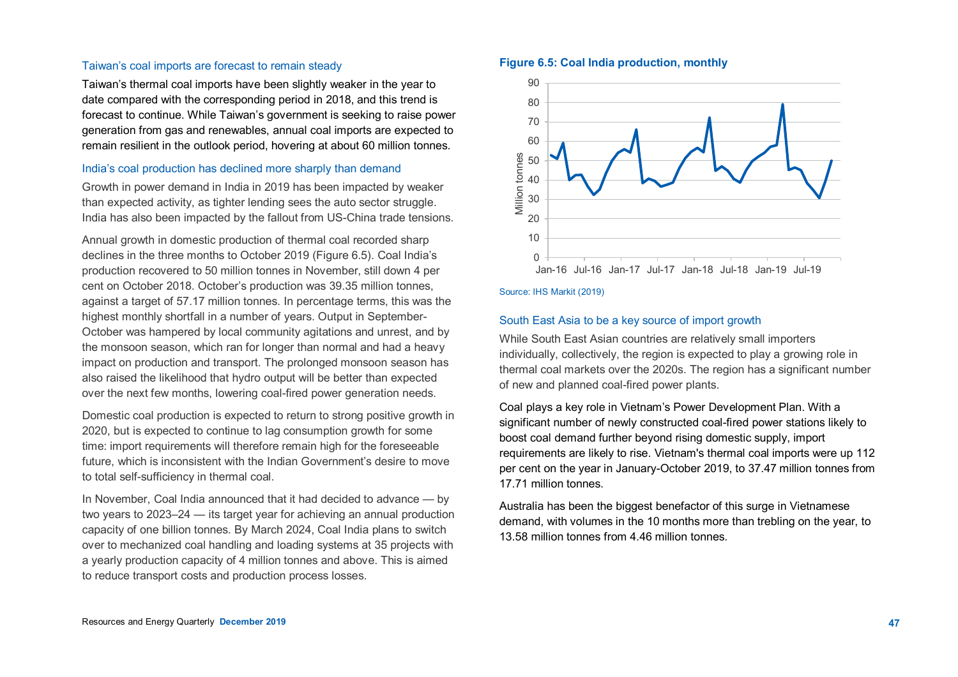#### Taiwan's coal imports are forecast to remain steady

Taiwan's thermal coal imports have been slightly weaker in the year to date compared with the corresponding period in 2018, and this trend is forecast to continue. While Taiwan's government is seeking to raise power generation from gas and renewables, annual coal imports are expected to remain resilient in the outlook period, hovering at about 60 million tonnes.

#### India's coal production has declined more sharply than demand

Growth in power demand in India in 2019 has been impacted by weaker than expected activity, as tighter lending sees the auto sector struggle. India has also been impacted by the fallout from US-China trade tensions.

Annual growth in domestic production of thermal coal recorded sharp declines in the three months to October 2019 (Figure 6.5). Coal India's production recovered to 50 million tonnes in November, still down 4 per cent on October 2018. October's production was 39.35 million tonnes, against a target of 57.17 million tonnes. In percentage terms, this was the highest monthly shortfall in a number of years. Output in September-October was hampered by local community agitations and unrest, and by the monsoon season, which ran for longer than normal and had a heavy impact on production and transport. The prolonged monsoon season has also raised the likelihood that hydro output will be better than expected over the next few months, lowering coal-fired power generation needs.

Domestic coal production is expected to return to strong positive growth in 2020, but is expected to continue to lag consumption growth for some time: import requirements will therefore remain high for the foreseeable future, which is inconsistent with the Indian Government's desire to move to total self-sufficiency in thermal coal.

In November, Coal India announced that it had decided to advance — by two years to 2023–24 — its target year for achieving an annual production capacity of one billion tonnes. By March 2024, Coal India plans to switch over to mechanized coal handling and loading systems at 35 projects with a yearly production capacity of 4 million tonnes and above. This is aimed to reduce transport costs and production process losses.

## **Figure 6.5: Coal India production, monthly**



#### Source: IHS Markit (2019)

#### South East Asia to be a key source of import growth

While South East Asian countries are relatively small importers individually, collectively, the region is expected to play a growing role in thermal coal markets over the 2020s. The region has a significant number of new and planned coal-fired power plants.

Coal plays a key role in Vietnam's Power Development Plan. With a significant number of newly constructed coal-fired power stations likely to boost coal demand further beyond rising domestic supply, import requirements are likely to rise. Vietnam's thermal coal imports were up 112 per cent on the year in January-October 2019, to 37.47 million tonnes from 17.71 million tonnes.

Australia has been the biggest benefactor of this surge in Vietnamese demand, with volumes in the 10 months more than trebling on the year, to 13.58 million tonnes from 4.46 million tonnes.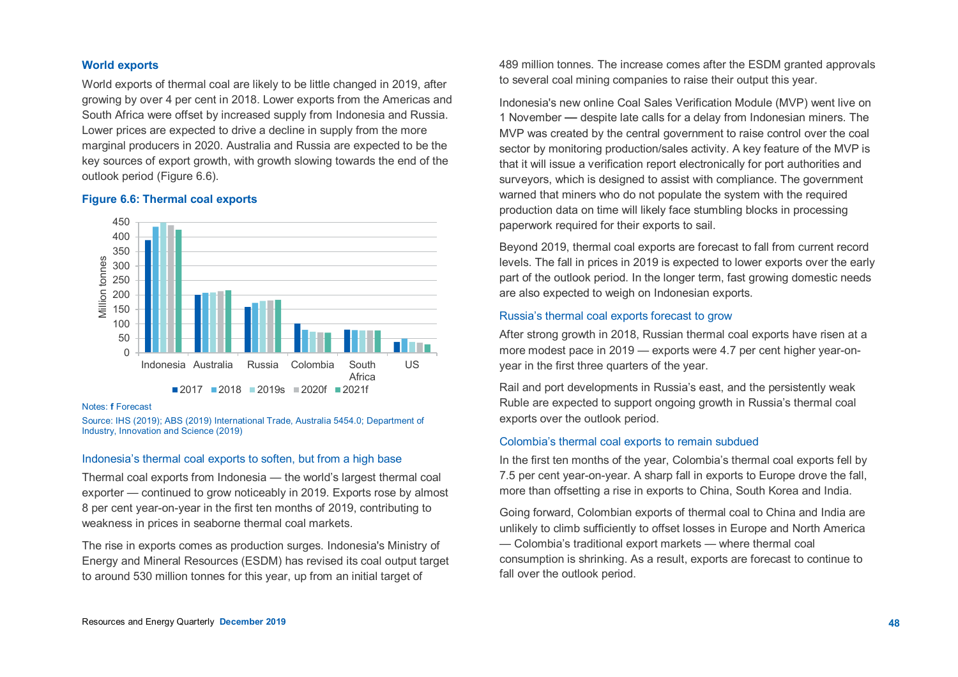## **World exports**

World exports of thermal coal are likely to be little changed in 2019, after growing by over 4 per cent in 2018. Lower exports from the Americas and South Africa were offset by increased supply from Indonesia and Russia. Lower prices are expected to drive a decline in supply from the more marginal producers in 2020. Australia and Russia are expected to be the key sources of export growth, with growth slowing towards the end of the outlook period (Figure 6.6).

## **Figure 6.6: Thermal coal exports**



#### Notes: **f** Forecast

Source: IHS (2019); ABS (2019) International Trade, Australia 5454.0; Department of Industry, Innovation and Science (2019)

## Indonesia's thermal coal exports to soften, but from a high base

Thermal coal exports from Indonesia — the world's largest thermal coal exporter — continued to grow noticeably in 2019. Exports rose by almost 8 per cent year-on-year in the first ten months of 2019, contributing to weakness in prices in seaborne thermal coal markets.

The rise in exports comes as production surges. Indonesia's Ministry of Energy and Mineral Resources (ESDM) has revised its coal output target to around 530 million tonnes for this year, up from an initial target of

489 million tonnes. The increase comes after the ESDM granted approvals to several coal mining companies to raise their output this year.

Indonesia's new online Coal Sales Verification Module (MVP) went live on 1 November — despite late calls for a delay from Indonesian miners. The MVP was created by the central government to raise control over the coal sector by monitoring production/sales activity. A key feature of the MVP is that it will issue a verification report electronically for port authorities and surveyors, which is designed to assist with compliance. The government warned that miners who do not populate the system with the required production data on time will likely face stumbling blocks in processing paperwork required for their exports to sail.

Beyond 2019, thermal coal exports are forecast to fall from current record levels. The fall in prices in 2019 is expected to lower exports over the early part of the outlook period. In the longer term, fast growing domestic needs are also expected to weigh on Indonesian exports.

## Russia's thermal coal exports forecast to grow

After strong growth in 2018, Russian thermal coal exports have risen at a more modest pace in 2019 — exports were 4.7 per cent higher year-onyear in the first three quarters of the year.

Rail and port developments in Russia's east, and the persistently weak Ruble are expected to support ongoing growth in Russia's thermal coal exports over the outlook period.

#### Colombia's thermal coal exports to remain subdued

In the first ten months of the year, Colombia's thermal coal exports fell by 7.5 per cent year-on-year. A sharp fall in exports to Europe drove the fall, more than offsetting a rise in exports to China, South Korea and India.

Going forward, Colombian exports of thermal coal to China and India are unlikely to climb sufficiently to offset losses in Europe and North America — Colombia's traditional export markets — where thermal coal consumption is shrinking. As a result, exports are forecast to continue to fall over the outlook period.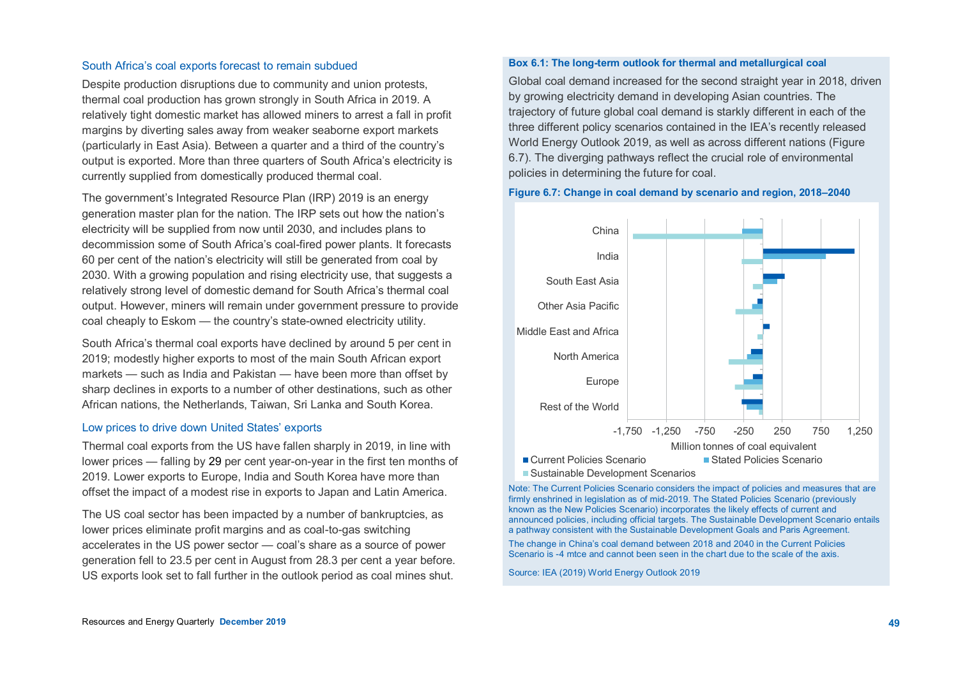#### South Africa's coal exports forecast to remain subdued

Despite production disruptions due to community and union protests, thermal coal production has grown strongly in South Africa in 2019. A relatively tight domestic market has allowed miners to arrest a fall in profit margins by diverting sales away from weaker seaborne export markets (particularly in East Asia). Between a quarter and a third of the country's output is exported. More than three quarters of South Africa's electricity is currently supplied from domestically produced thermal coal.

The government's Integrated Resource Plan (IRP) 2019 is an energy generation master plan for the nation. The IRP sets out how the nation's electricity will be supplied from now until 2030, and includes plans to decommission some of South Africa's coal-fired power plants. It forecasts 60 per cent of the nation's electricity will still be generated from coal by 2030. With a growing population and rising electricity use, that suggests a relatively strong level of domestic demand for South Africa's thermal coal output. However, miners will remain under government pressure to provide coal cheaply to Eskom — the country's state-owned electricity utility.

South Africa's thermal coal exports have declined by around 5 per cent in 2019; modestly higher exports to most of the main South African export markets — such as India and Pakistan — have been more than offset by sharp declines in exports to a number of other destinations, such as other African nations, the Netherlands, Taiwan, Sri Lanka and South Korea.

## Low prices to drive down United States' exports

Thermal coal exports from the US have fallen sharply in 2019, in line with lower prices — falling by 29 per cent year-on-year in the first ten months of 2019. Lower exports to Europe, India and South Korea have more than offset the impact of a modest rise in exports to Japan and Latin America.

The US coal sector has been impacted by a number of bankruptcies, as lower prices eliminate profit margins and as coal-to-gas switching accelerates in the US power sector — coal's share as a source of power generation fell to 23.5 per cent in August from 28.3 per cent a year before. US exports look set to fall further in the outlook period as coal mines shut.

#### **Box 6.1: The long-term outlook for thermal and metallurgical coal**

Global coal demand increased for the second straight year in 2018, driven by growing electricity demand in developing Asian countries. The trajectory of future global coal demand is starkly different in each of the three different policy scenarios contained in the IEA's recently released World Energy Outlook 2019, as well as across different nations (Figure 6.7). The diverging pathways reflect the crucial role of environmental policies in determining the future for coal.

#### **Figure 6.7: Change in coal demand by scenario and region, 2018–2040**



Note: The Current Policies Scenario considers the impact of policies and measures that are firmly enshrined in legislation as of mid-2019. The Stated Policies Scenario (previously known as the New Policies Scenario) incorporates the likely effects of current and announced policies, including official targets. The Sustainable Development Scenario entails a pathway consistent with the Sustainable Development Goals and Paris Agreement.

The change in China's coal demand between 2018 and 2040 in the Current Policies Scenario is -4 mtce and cannot been seen in the chart due to the scale of the axis.

Source: IEA (2019) World Energy Outlook 2019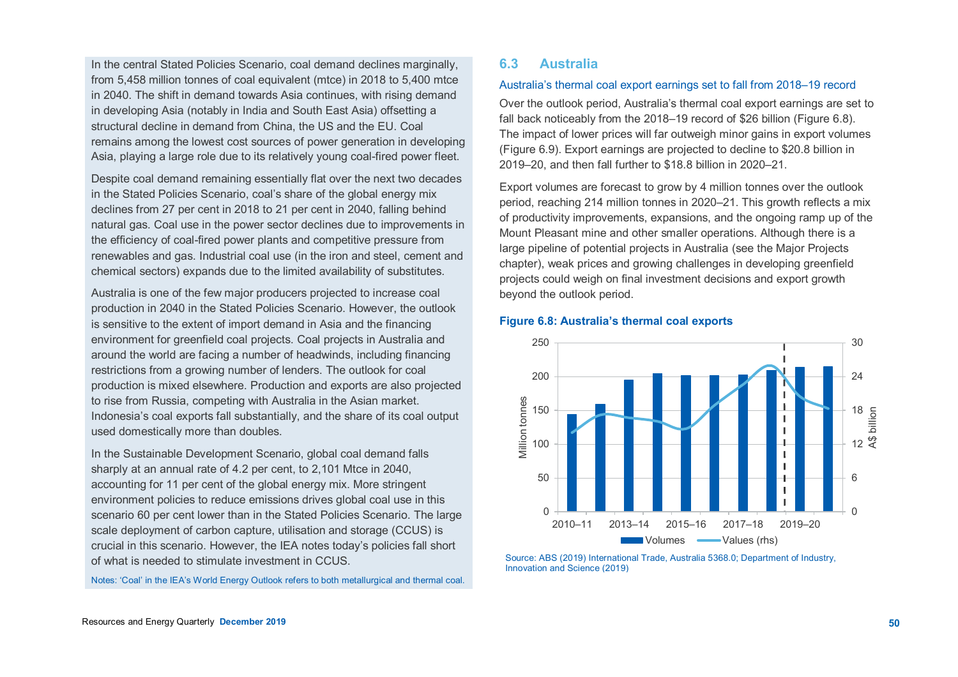In the central Stated Policies Scenario, coal demand declines marginally, from 5,458 million tonnes of coal equivalent (mtce) in 2018 to 5,400 mtce in 2040. The shift in demand towards Asia continues, with rising demand in developing Asia (notably in India and South East Asia) offsetting a structural decline in demand from China, the US and the EU. Coal remains among the lowest cost sources of power generation in developing Asia, playing a large role due to its relatively young coal-fired power fleet.

Despite coal demand remaining essentially flat over the next two decades in the Stated Policies Scenario, coal's share of the global energy mix declines from 27 per cent in 2018 to 21 per cent in 2040, falling behind natural gas. Coal use in the power sector declines due to improvements in the efficiency of coal-fired power plants and competitive pressure from renewables and gas. Industrial coal use (in the iron and steel, cement and chemical sectors) expands due to the limited availability of substitutes.

Australia is one of the few major producers projected to increase coal production in 2040 in the Stated Policies Scenario. However, the outlook is sensitive to the extent of import demand in Asia and the financing environment for greenfield coal projects. Coal projects in Australia and around the world are facing a number of headwinds, including financing restrictions from a growing number of lenders. The outlook for coal production is mixed elsewhere. Production and exports are also projected to rise from Russia, competing with Australia in the Asian market. Indonesia's coal exports fall substantially, and the share of its coal output used domestically more than doubles.

In the Sustainable Development Scenario, global coal demand falls sharply at an annual rate of 4.2 per cent, to 2,101 Mtce in 2040, accounting for 11 per cent of the global energy mix. More stringent environment policies to reduce emissions drives global coal use in this scenario 60 per cent lower than in the Stated Policies Scenario. The large scale deployment of carbon capture, utilisation and storage (CCUS) is crucial in this scenario. However, the IEA notes today's policies fall short of what is needed to stimulate investment in CCUS.

Notes: 'Coal' in the IEA's World Energy Outlook refers to both metallurgical and thermal coal.

# **6.3 Australia**

## Australia's thermal coal export earnings set to fall from 2018–19 record

Over the outlook period, Australia's thermal coal export earnings are set to fall back noticeably from the 2018–19 record of \$26 billion (Figure 6.8). The impact of lower prices will far outweigh minor gains in export volumes (Figure 6.9). Export earnings are projected to decline to \$20.8 billion in 2019–20, and then fall further to \$18.8 billion in 2020–21.

Export volumes are forecast to grow by 4 million tonnes over the outlook period, reaching 214 million tonnes in 2020–21. This growth reflects a mix of productivity improvements, expansions, and the ongoing ramp up of the Mount Pleasant mine and other smaller operations. Although there is a large pipeline of potential projects in Australia (see the Major Projects chapter), weak prices and growing challenges in developing greenfield projects could weigh on final investment decisions and export growth beyond the outlook period.





Source: ABS (2019) International Trade, Australia 5368.0; Department of Industry, Innovation and Science (2019)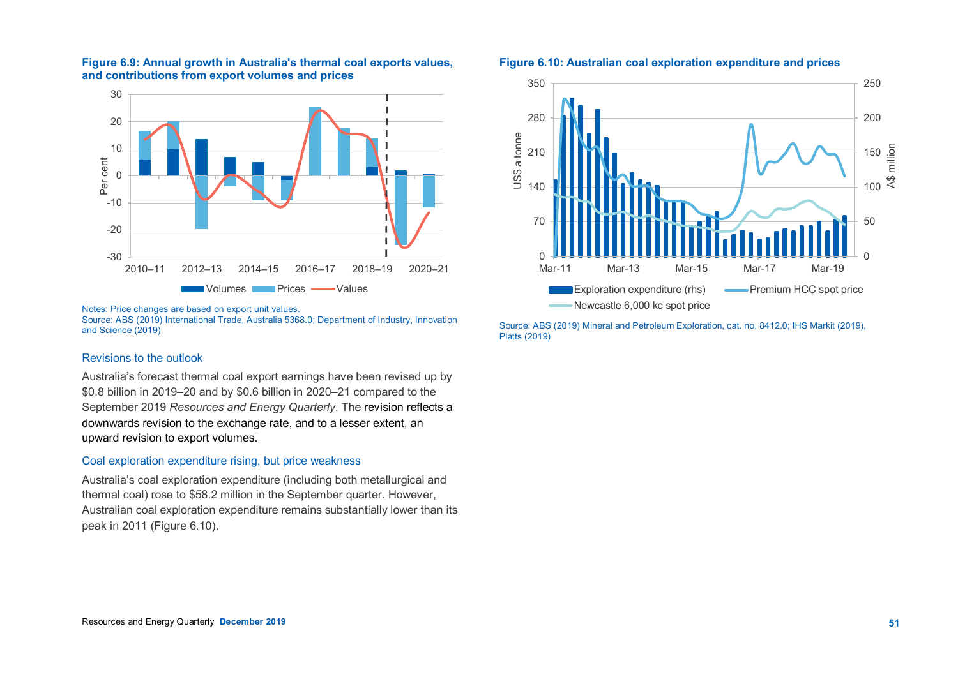

# **Figure 6.9: Annual growth in Australia's thermal coal exports values, and contributions from export volumes and prices**

Notes: Price changes are based on export unit values.

Source: ABS (2019) International Trade, Australia 5368.0; Department of Industry, Innovation and Science (2019)

## Revisions to the outlook

Australia's forecast thermal coal export earnings have been revised up by \$0.8 billion in 2019–20 and by \$0.6 billion in 2020–21 compared to the September 2019 *Resources and Energy Quarterly*. The revision reflects a downwards revision to the exchange rate, and to a lesser extent, an upward revision to export volumes.

## Coal exploration expenditure rising, but price weakness

Australia's coal exploration expenditure (including both metallurgical and thermal coal) rose to \$58.2 million in the September quarter. However, Australian coal exploration expenditure remains substantially lower than its peak in 2011 (Figure 6.10).

## **Figure 6.10: Australian coal exploration expenditure and prices**



Source: ABS (2019) Mineral and Petroleum Exploration, cat. no. 8412.0; IHS Markit (2019), Platts (2019)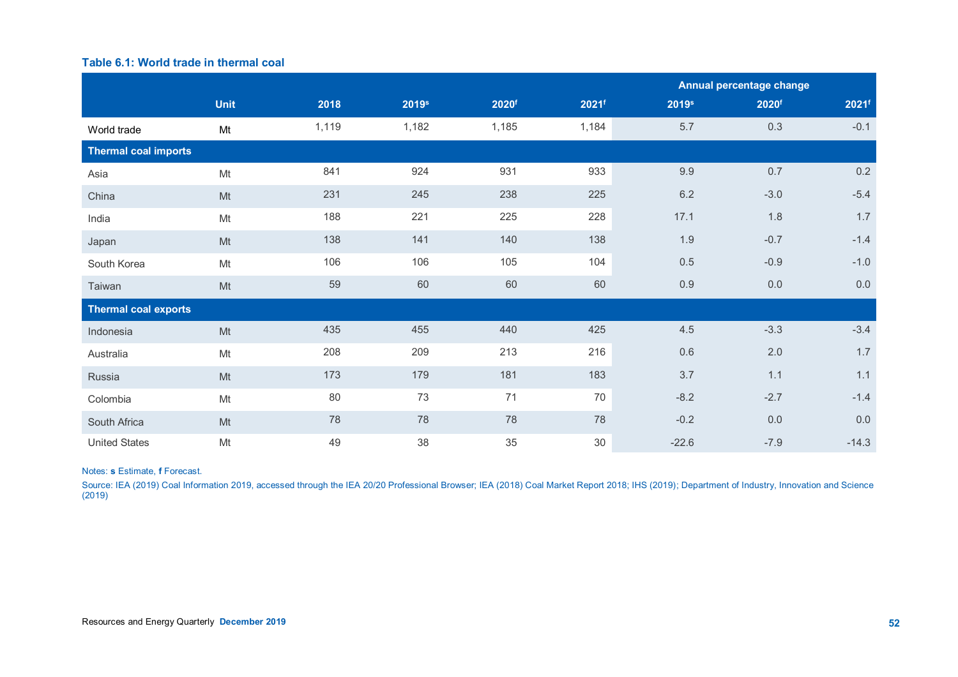# **Table 6.1: World trade in thermal coal**

|                             |             |       |                   |                   |                     | Annual percentage change |                   |                   |
|-----------------------------|-------------|-------|-------------------|-------------------|---------------------|--------------------------|-------------------|-------------------|
|                             | <b>Unit</b> | 2018  | 2019 <sup>s</sup> | 2020 <sup>f</sup> | $2021$ <sup>f</sup> | 2019 <sup>s</sup>        | 2020 <sup>f</sup> | 2021 <sup>f</sup> |
| World trade                 | Mt          | 1,119 | 1,182             | 1,185             | 1,184               | 5.7                      | 0.3               | $-0.1$            |
| <b>Thermal coal imports</b> |             |       |                   |                   |                     |                          |                   |                   |
| Asia                        | Mt          | 841   | 924               | 931               | 933                 | 9.9                      | 0.7               | 0.2               |
| China                       | Mt          | 231   | 245               | 238               | 225                 | $6.2\,$                  | $-3.0$            | $-5.4$            |
| India                       | Mt          | 188   | 221               | 225               | 228                 | 17.1                     | 1.8               | 1.7               |
| Japan                       | Mt          | 138   | 141               | 140               | 138                 | 1.9                      | $-0.7$            | $-1.4$            |
| South Korea                 | Mt          | 106   | 106               | 105               | 104                 | 0.5                      | $-0.9$            | $-1.0$            |
| Taiwan                      | Mt          | 59    | 60                | 60                | 60                  | 0.9                      | 0.0               | 0.0               |
| <b>Thermal coal exports</b> |             |       |                   |                   |                     |                          |                   |                   |
| Indonesia                   | Mt          | 435   | 455               | 440               | 425                 | 4.5                      | $-3.3$            | $-3.4$            |
| Australia                   | Mt          | 208   | 209               | 213               | 216                 | 0.6                      | 2.0               | 1.7               |
| Russia                      | Mt          | 173   | 179               | 181               | 183                 | 3.7                      | 1.1               | 1.1               |
| Colombia                    | Mt          | 80    | 73                | 71                | 70                  | $-8.2$                   | $-2.7$            | $-1.4$            |
| South Africa                | Mt          | 78    | 78                | 78                | 78                  | $-0.2$                   | 0.0               | 0.0               |
| <b>United States</b>        | Mt          | 49    | 38                | 35                | 30                  | $-22.6$                  | $-7.9$            | $-14.3$           |

## Notes: **s** Estimate, **f** Forecast.

Source: IEA (2019) Coal Information 2019, accessed through the IEA 20/20 Professional Browser; IEA (2018) Coal Market Report 2018; IHS (2019); Department of Industry, Innovation and Science (2019)